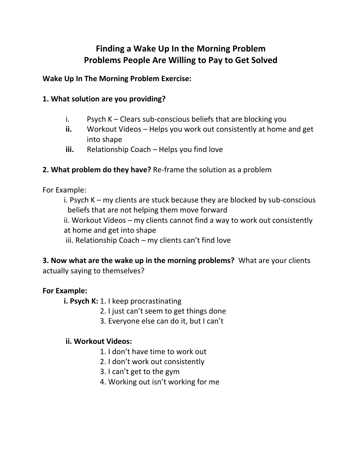# **Finding a Wake Up In the Morning Problem Problems People Are Willing to Pay to Get Solved**

**Wake Up In The Morning Problem Exercise:** 

## **1. What solution are you providing?**

- i. Psych K Clears sub-conscious beliefs that are blocking you
- **ii.** Workout Videos Helps you work out consistently at home and get into shape
- **iii.** Relationship Coach Helps you find love

## **2. What problem do they have?** Re-frame the solution as a problem

For Example:

i. Psych K – my clients are stuck because they are blocked by sub-conscious beliefs that are not helping them move forward

ii. Workout Videos – my clients cannot find a way to work out consistently at home and get into shape

iii. Relationship Coach – my clients can't find love

**3. Now what are the wake up in the morning problems?** What are your clients actually saying to themselves?

### **For Example:**

**i. Psych K:** 1. I keep procrastinating

- 2. I just can't seem to get things done
- 3. Everyone else can do it, but I can't

### **ii. Workout Videos:**

- 1. I don't have time to work out
- 2. I don't work out consistently
- 3. I can't get to the gym
- 4. Working out isn't working for me